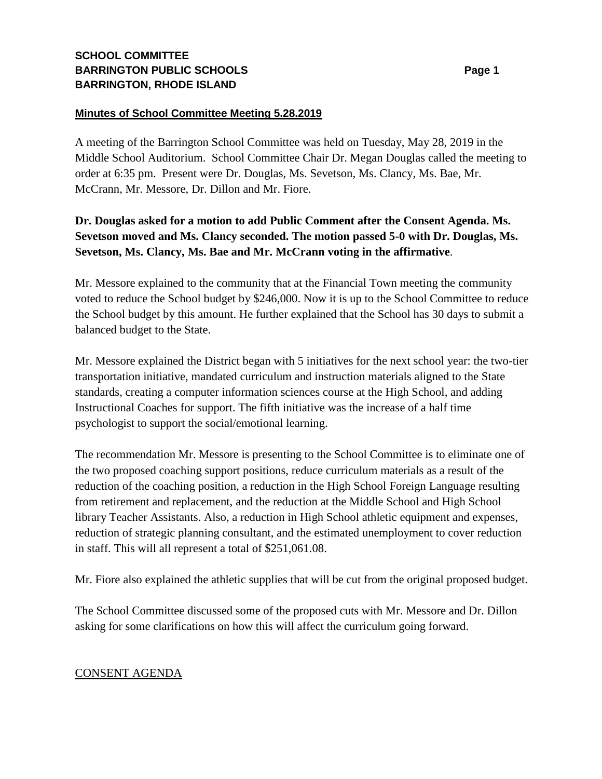## **SCHOOL COMMITTEE BARRINGTON PUBLIC SCHOOLS BARRINGTON, RHODE ISLAND**

### **Minutes of School Committee Meeting 5.28.2019**

A meeting of the Barrington School Committee was held on Tuesday, May 28, 2019 in the Middle School Auditorium. School Committee Chair Dr. Megan Douglas called the meeting to order at 6:35 pm. Present were Dr. Douglas, Ms. Sevetson, Ms. Clancy, Ms. Bae, Mr. McCrann, Mr. Messore, Dr. Dillon and Mr. Fiore.

# **Dr. Douglas asked for a motion to add Public Comment after the Consent Agenda. Ms. Sevetson moved and Ms. Clancy seconded. The motion passed 5-0 with Dr. Douglas, Ms. Sevetson, Ms. Clancy, Ms. Bae and Mr. McCrann voting in the affirmative**.

Mr. Messore explained to the community that at the Financial Town meeting the community voted to reduce the School budget by \$246,000. Now it is up to the School Committee to reduce the School budget by this amount. He further explained that the School has 30 days to submit a balanced budget to the State.

Mr. Messore explained the District began with 5 initiatives for the next school year: the two-tier transportation initiative, mandated curriculum and instruction materials aligned to the State standards, creating a computer information sciences course at the High School, and adding Instructional Coaches for support. The fifth initiative was the increase of a half time psychologist to support the social/emotional learning.

The recommendation Mr. Messore is presenting to the School Committee is to eliminate one of the two proposed coaching support positions, reduce curriculum materials as a result of the reduction of the coaching position, a reduction in the High School Foreign Language resulting from retirement and replacement, and the reduction at the Middle School and High School library Teacher Assistants. Also, a reduction in High School athletic equipment and expenses, reduction of strategic planning consultant, and the estimated unemployment to cover reduction in staff. This will all represent a total of \$251,061.08.

Mr. Fiore also explained the athletic supplies that will be cut from the original proposed budget.

The School Committee discussed some of the proposed cuts with Mr. Messore and Dr. Dillon asking for some clarifications on how this will affect the curriculum going forward.

## CONSENT AGENDA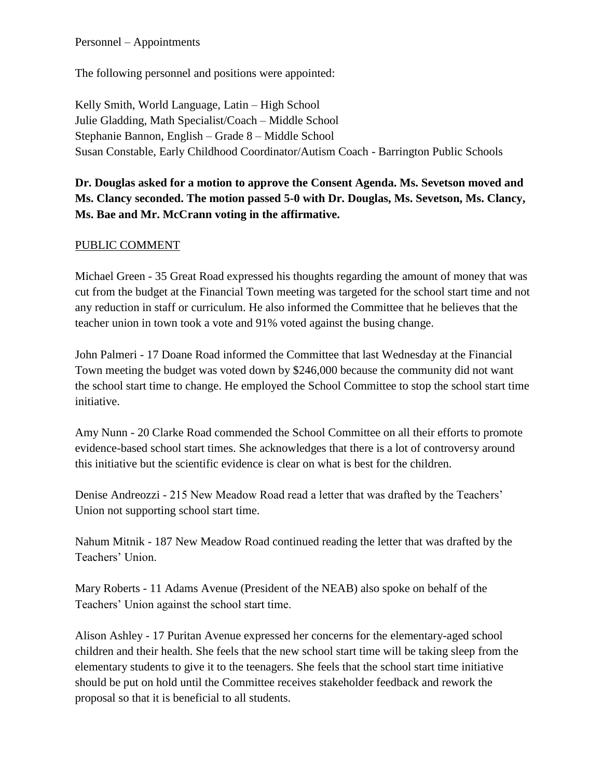### Personnel – Appointments

The following personnel and positions were appointed:

Kelly Smith, World Language, Latin – High School Julie Gladding, Math Specialist/Coach – Middle School Stephanie Bannon, English – Grade 8 – Middle School Susan Constable, Early Childhood Coordinator/Autism Coach - Barrington Public Schools

# **Dr. Douglas asked for a motion to approve the Consent Agenda. Ms. Sevetson moved and Ms. Clancy seconded. The motion passed 5-0 with Dr. Douglas, Ms. Sevetson, Ms. Clancy, Ms. Bae and Mr. McCrann voting in the affirmative.**

## PUBLIC COMMENT

Michael Green - 35 Great Road expressed his thoughts regarding the amount of money that was cut from the budget at the Financial Town meeting was targeted for the school start time and not any reduction in staff or curriculum. He also informed the Committee that he believes that the teacher union in town took a vote and 91% voted against the busing change.

John Palmeri - 17 Doane Road informed the Committee that last Wednesday at the Financial Town meeting the budget was voted down by \$246,000 because the community did not want the school start time to change. He employed the School Committee to stop the school start time initiative.

Amy Nunn - 20 Clarke Road commended the School Committee on all their efforts to promote evidence-based school start times. She acknowledges that there is a lot of controversy around this initiative but the scientific evidence is clear on what is best for the children.

Denise Andreozzi - 215 New Meadow Road read a letter that was drafted by the Teachers' Union not supporting school start time.

Nahum Mitnik - 187 New Meadow Road continued reading the letter that was drafted by the Teachers' Union.

Mary Roberts - 11 Adams Avenue (President of the NEAB) also spoke on behalf of the Teachers' Union against the school start time.

Alison Ashley - 17 Puritan Avenue expressed her concerns for the elementary-aged school children and their health. She feels that the new school start time will be taking sleep from the elementary students to give it to the teenagers. She feels that the school start time initiative should be put on hold until the Committee receives stakeholder feedback and rework the proposal so that it is beneficial to all students.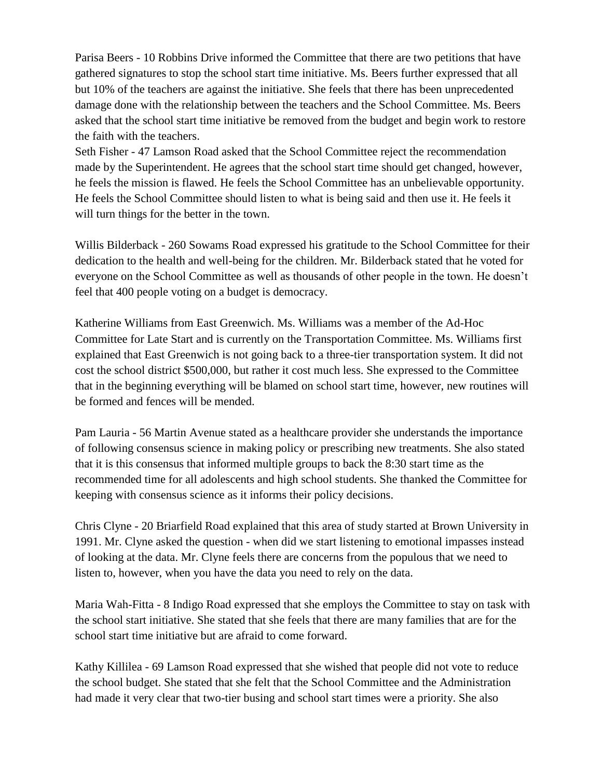Parisa Beers - 10 Robbins Drive informed the Committee that there are two petitions that have gathered signatures to stop the school start time initiative. Ms. Beers further expressed that all but 10% of the teachers are against the initiative. She feels that there has been unprecedented damage done with the relationship between the teachers and the School Committee. Ms. Beers asked that the school start time initiative be removed from the budget and begin work to restore the faith with the teachers.

Seth Fisher - 47 Lamson Road asked that the School Committee reject the recommendation made by the Superintendent. He agrees that the school start time should get changed, however, he feels the mission is flawed. He feels the School Committee has an unbelievable opportunity. He feels the School Committee should listen to what is being said and then use it. He feels it will turn things for the better in the town.

Willis Bilderback - 260 Sowams Road expressed his gratitude to the School Committee for their dedication to the health and well-being for the children. Mr. Bilderback stated that he voted for everyone on the School Committee as well as thousands of other people in the town. He doesn't feel that 400 people voting on a budget is democracy.

Katherine Williams from East Greenwich. Ms. Williams was a member of the Ad-Hoc Committee for Late Start and is currently on the Transportation Committee. Ms. Williams first explained that East Greenwich is not going back to a three-tier transportation system. It did not cost the school district \$500,000, but rather it cost much less. She expressed to the Committee that in the beginning everything will be blamed on school start time, however, new routines will be formed and fences will be mended.

Pam Lauria - 56 Martin Avenue stated as a healthcare provider she understands the importance of following consensus science in making policy or prescribing new treatments. She also stated that it is this consensus that informed multiple groups to back the 8:30 start time as the recommended time for all adolescents and high school students. She thanked the Committee for keeping with consensus science as it informs their policy decisions.

Chris Clyne - 20 Briarfield Road explained that this area of study started at Brown University in 1991. Mr. Clyne asked the question - when did we start listening to emotional impasses instead of looking at the data. Mr. Clyne feels there are concerns from the populous that we need to listen to, however, when you have the data you need to rely on the data.

Maria Wah-Fitta - 8 Indigo Road expressed that she employs the Committee to stay on task with the school start initiative. She stated that she feels that there are many families that are for the school start time initiative but are afraid to come forward.

Kathy Killilea - 69 Lamson Road expressed that she wished that people did not vote to reduce the school budget. She stated that she felt that the School Committee and the Administration had made it very clear that two-tier busing and school start times were a priority. She also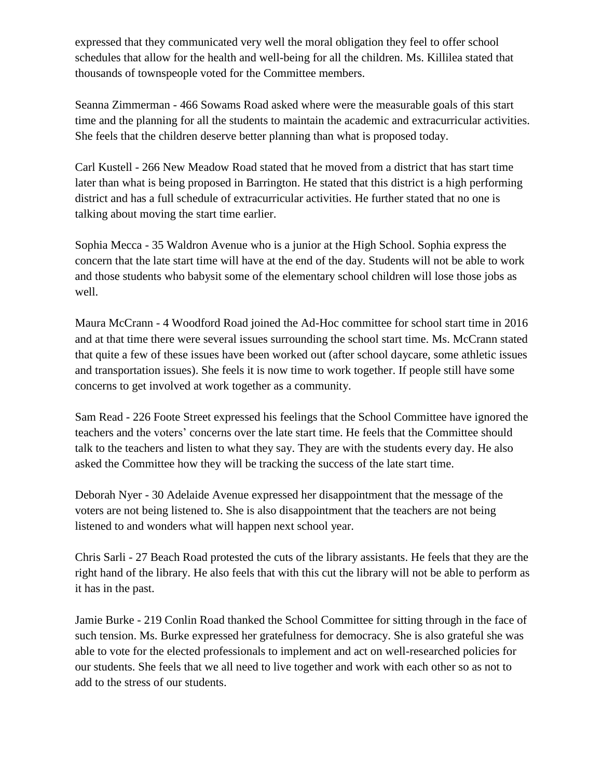expressed that they communicated very well the moral obligation they feel to offer school schedules that allow for the health and well-being for all the children. Ms. Killilea stated that thousands of townspeople voted for the Committee members.

Seanna Zimmerman - 466 Sowams Road asked where were the measurable goals of this start time and the planning for all the students to maintain the academic and extracurricular activities. She feels that the children deserve better planning than what is proposed today.

Carl Kustell - 266 New Meadow Road stated that he moved from a district that has start time later than what is being proposed in Barrington. He stated that this district is a high performing district and has a full schedule of extracurricular activities. He further stated that no one is talking about moving the start time earlier.

Sophia Mecca - 35 Waldron Avenue who is a junior at the High School. Sophia express the concern that the late start time will have at the end of the day. Students will not be able to work and those students who babysit some of the elementary school children will lose those jobs as well.

Maura McCrann - 4 Woodford Road joined the Ad-Hoc committee for school start time in 2016 and at that time there were several issues surrounding the school start time. Ms. McCrann stated that quite a few of these issues have been worked out (after school daycare, some athletic issues and transportation issues). She feels it is now time to work together. If people still have some concerns to get involved at work together as a community.

Sam Read - 226 Foote Street expressed his feelings that the School Committee have ignored the teachers and the voters' concerns over the late start time. He feels that the Committee should talk to the teachers and listen to what they say. They are with the students every day. He also asked the Committee how they will be tracking the success of the late start time.

Deborah Nyer - 30 Adelaide Avenue expressed her disappointment that the message of the voters are not being listened to. She is also disappointment that the teachers are not being listened to and wonders what will happen next school year.

Chris Sarli - 27 Beach Road protested the cuts of the library assistants. He feels that they are the right hand of the library. He also feels that with this cut the library will not be able to perform as it has in the past.

Jamie Burke - 219 Conlin Road thanked the School Committee for sitting through in the face of such tension. Ms. Burke expressed her gratefulness for democracy. She is also grateful she was able to vote for the elected professionals to implement and act on well-researched policies for our students. She feels that we all need to live together and work with each other so as not to add to the stress of our students.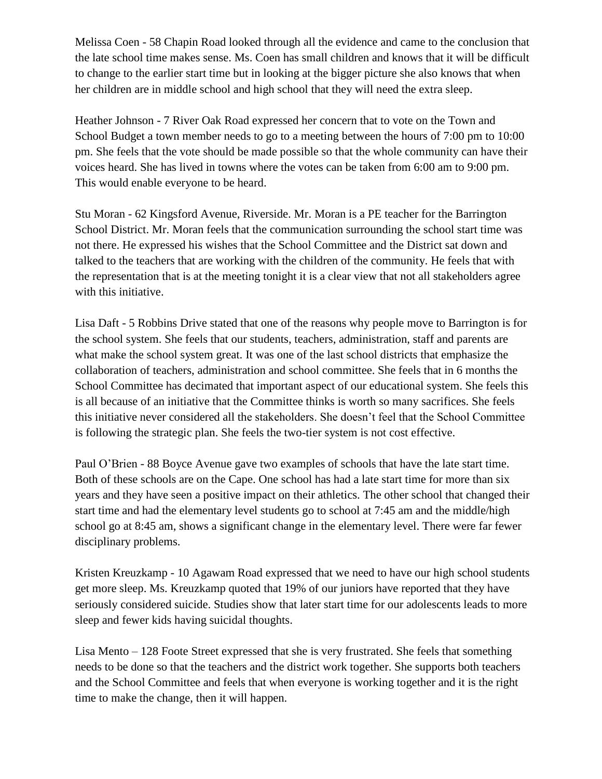Melissa Coen - 58 Chapin Road looked through all the evidence and came to the conclusion that the late school time makes sense. Ms. Coen has small children and knows that it will be difficult to change to the earlier start time but in looking at the bigger picture she also knows that when her children are in middle school and high school that they will need the extra sleep.

Heather Johnson - 7 River Oak Road expressed her concern that to vote on the Town and School Budget a town member needs to go to a meeting between the hours of 7:00 pm to 10:00 pm. She feels that the vote should be made possible so that the whole community can have their voices heard. She has lived in towns where the votes can be taken from 6:00 am to 9:00 pm. This would enable everyone to be heard.

Stu Moran - 62 Kingsford Avenue, Riverside. Mr. Moran is a PE teacher for the Barrington School District. Mr. Moran feels that the communication surrounding the school start time was not there. He expressed his wishes that the School Committee and the District sat down and talked to the teachers that are working with the children of the community. He feels that with the representation that is at the meeting tonight it is a clear view that not all stakeholders agree with this initiative.

Lisa Daft - 5 Robbins Drive stated that one of the reasons why people move to Barrington is for the school system. She feels that our students, teachers, administration, staff and parents are what make the school system great. It was one of the last school districts that emphasize the collaboration of teachers, administration and school committee. She feels that in 6 months the School Committee has decimated that important aspect of our educational system. She feels this is all because of an initiative that the Committee thinks is worth so many sacrifices. She feels this initiative never considered all the stakeholders. She doesn't feel that the School Committee is following the strategic plan. She feels the two-tier system is not cost effective.

Paul O'Brien - 88 Boyce Avenue gave two examples of schools that have the late start time. Both of these schools are on the Cape. One school has had a late start time for more than six years and they have seen a positive impact on their athletics. The other school that changed their start time and had the elementary level students go to school at 7:45 am and the middle/high school go at 8:45 am, shows a significant change in the elementary level. There were far fewer disciplinary problems.

Kristen Kreuzkamp - 10 Agawam Road expressed that we need to have our high school students get more sleep. Ms. Kreuzkamp quoted that 19% of our juniors have reported that they have seriously considered suicide. Studies show that later start time for our adolescents leads to more sleep and fewer kids having suicidal thoughts.

Lisa Mento – 128 Foote Street expressed that she is very frustrated. She feels that something needs to be done so that the teachers and the district work together. She supports both teachers and the School Committee and feels that when everyone is working together and it is the right time to make the change, then it will happen.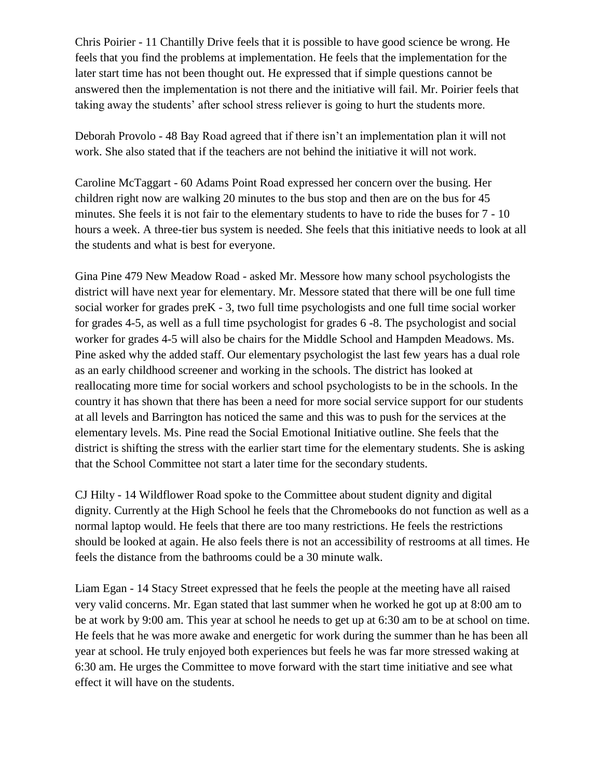Chris Poirier - 11 Chantilly Drive feels that it is possible to have good science be wrong. He feels that you find the problems at implementation. He feels that the implementation for the later start time has not been thought out. He expressed that if simple questions cannot be answered then the implementation is not there and the initiative will fail. Mr. Poirier feels that taking away the students' after school stress reliever is going to hurt the students more.

Deborah Provolo - 48 Bay Road agreed that if there isn't an implementation plan it will not work. She also stated that if the teachers are not behind the initiative it will not work.

Caroline McTaggart - 60 Adams Point Road expressed her concern over the busing. Her children right now are walking 20 minutes to the bus stop and then are on the bus for 45 minutes. She feels it is not fair to the elementary students to have to ride the buses for 7 - 10 hours a week. A three-tier bus system is needed. She feels that this initiative needs to look at all the students and what is best for everyone.

Gina Pine 479 New Meadow Road - asked Mr. Messore how many school psychologists the district will have next year for elementary. Mr. Messore stated that there will be one full time social worker for grades preK - 3, two full time psychologists and one full time social worker for grades 4-5, as well as a full time psychologist for grades 6 -8. The psychologist and social worker for grades 4-5 will also be chairs for the Middle School and Hampden Meadows. Ms. Pine asked why the added staff. Our elementary psychologist the last few years has a dual role as an early childhood screener and working in the schools. The district has looked at reallocating more time for social workers and school psychologists to be in the schools. In the country it has shown that there has been a need for more social service support for our students at all levels and Barrington has noticed the same and this was to push for the services at the elementary levels. Ms. Pine read the Social Emotional Initiative outline. She feels that the district is shifting the stress with the earlier start time for the elementary students. She is asking that the School Committee not start a later time for the secondary students.

CJ Hilty - 14 Wildflower Road spoke to the Committee about student dignity and digital dignity. Currently at the High School he feels that the Chromebooks do not function as well as a normal laptop would. He feels that there are too many restrictions. He feels the restrictions should be looked at again. He also feels there is not an accessibility of restrooms at all times. He feels the distance from the bathrooms could be a 30 minute walk.

Liam Egan - 14 Stacy Street expressed that he feels the people at the meeting have all raised very valid concerns. Mr. Egan stated that last summer when he worked he got up at 8:00 am to be at work by 9:00 am. This year at school he needs to get up at 6:30 am to be at school on time. He feels that he was more awake and energetic for work during the summer than he has been all year at school. He truly enjoyed both experiences but feels he was far more stressed waking at 6:30 am. He urges the Committee to move forward with the start time initiative and see what effect it will have on the students.